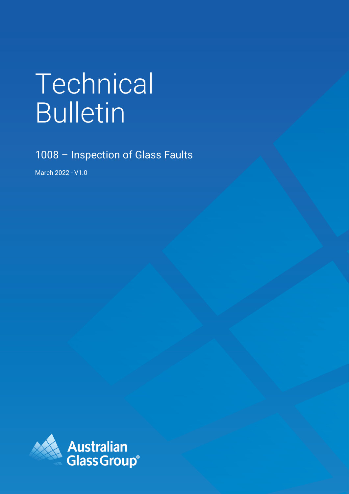# Technical Bulletin

1008 – Inspection of Glass Faults

March 2022 - V1.0

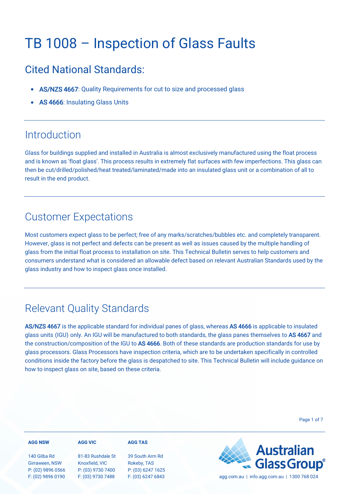# TB 1008 – Inspection of Glass Faults

### Cited National Standards:

- AS/NZS 4667: Quality Requirements for cut to size and processed glass
- AS 4666: Insulating Glass Units

### **Introduction**

Glass for buildings supplied and installed in Australia is almost exclusively manufactured using the float process and is known as 'float glass'. This process results in extremely flat surfaces with few imperfections. This glass can then be cut/drilled/polished/heat treated/laminated/made into an insulated glass unit or a combination of all to result in the end product.

### Customer Expectations

Most customers expect glass to be perfect; free of any marks/scratches/bubbles etc. and completely transparent. However, glass is not perfect and defects can be present as well as issues caused by the multiple handling of glass from the initial float process to installation on site. This Technical Bulletin serves to help customers and consumers understand what is considered an allowable defect based on relevant Australian Standards used by the glass industry and how to inspect glass once installed.

### Relevant Quality Standards

AS/NZS 4667 is the applicable standard for individual panes of glass, whereas AS 4666 is applicable to insulated glass units (IGU) only. An IGU will be manufactured to both standards, the glass panes themselves to AS 4667 and the construction/composition of the IGU to AS 4666. Both of these standards are production standards for use by glass processors. Glass Processors have inspection criteria, which are to be undertaken specifically in controlled conditions inside the factory before the glass is despatched to site. This Technical Bulletin will include guidance on how to inspect glass on site, based on these criteria.

Page 1 of 7

| <b>AGG NSW</b>                                      | <b>AGG VIC</b>                                           | <b>AGG TAS</b>                                      |                                             |
|-----------------------------------------------------|----------------------------------------------------------|-----------------------------------------------------|---------------------------------------------|
| 140 Gilba Rd<br>Girraween, NSW<br>P: (02) 9896 0566 | 81-83 Rushdale St<br>Knoxfield, VIC<br>P: (03) 9730 7400 | 39 South Arm Rd<br>Rokeby, TAS<br>P: (03) 6247 1625 | <b>Australian</b><br>Glass Group®           |
| F: (02) 9896 0190                                   | F: (03) 9730 7488                                        | F: (03) 6247 6843                                   | agg.com.au   info.agg.com.au   1300 768 024 |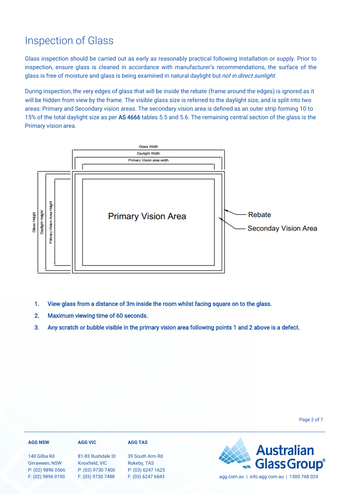### Inspection of Glass

Glass inspection should be carried out as early as reasonably practical following installation or supply. Prior to inspection, ensure glass is cleaned in accordance with manufacturer's recommendations, the surface of the glass is free of moisture and glass is being examined in natural daylight but *not in direct sunlight*.

During inspection, the very edges of glass that will be inside the rebate (frame around the edges) is ignored as it will be hidden from view by the frame. The visible glass size is referred to the daylight size, and is split into two areas: Primary and Secondary vision areas. The secondary vision area is defined as an outer strip forming 10 to 15% of the total daylight size as per AS 4666 tables 5.5 and 5.6. The remaining central section of the glass is the Primary vision area.



- 1. View glass from a distance of 3m inside the room whilst facing square on to the glass.
- 2. Maximum viewing time of 60 seconds.
- 3. Any scratch or bubble visible in the primary vision area following points 1 and 2 above is a defect.

Page 2 of 7

| <b>AGG NSW</b>                                      | <b>AGG VIC</b>                                           | <b>AGG TAS</b>                                      |                                             |
|-----------------------------------------------------|----------------------------------------------------------|-----------------------------------------------------|---------------------------------------------|
| 140 Gilba Rd<br>Girraween, NSW<br>P: (02) 9896 0566 | 81-83 Rushdale St<br>Knoxfield, VIC<br>P: (03) 9730 7400 | 39 South Arm Rd<br>Rokeby, TAS<br>P: (03) 6247 1625 | <b>Australian<br/>Glass Group®</b>          |
| F: (02) 9896 0190                                   | F: (03) 9730 7488                                        | F: (03) 6247 6843                                   | agg.com.au   info.agg.com.au   1300 768 024 |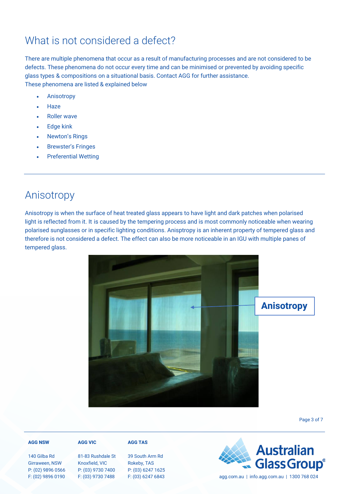### What is not considered a defect?

There are multiple phenomena that occur as a result of manufacturing processes and are not considered to be defects. These phenomena do not occur every time and can be minimised or prevented by avoiding specific glass types & compositions on a situational basis. Contact AGG for further assistance. These phenomena are listed & explained below

- **Anisotropy**
- Haze
- Roller wave
- **Edge kink**
- Newton's Rings
- **Brewster's Fringes**
- **Preferential Wetting**

### Anisotropy

Anisotropy is when the surface of heat treated glass appears to have light and dark patches when polarised light is reflected from it. It is caused by the tempering process and is most commonly noticeable when wearing polarised sunglasses or in specific lighting conditions. Anisptropy is an inherent property of tempered glass and therefore is not considered a defect. The effect can also be more noticeable in an IGU with multiple panes of tempered glass.



Page 3 of 7

#### **AGG NSW**

140 Gilba Rd Girraween, NSW P: (02) 9896 0566 F: (02) 9896 0190

#### **AGG VIC**

# 81-83 Rushdale St

Knoxfield, VIC P: (03) 9730 7400 F: (03) 9730 7488

Rokeby, TAS P: (03) 6247 1625



39 South Arm Rd

**AGG TAS**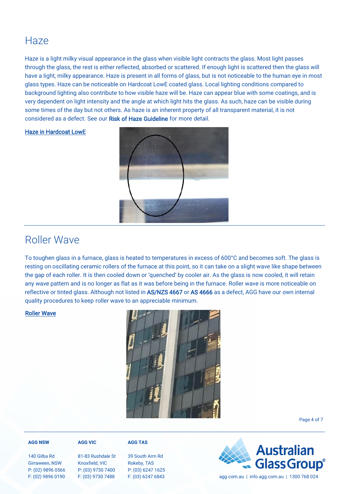### Haze

Haze is a light milky visual appearance in the glass when visible light contracts the glass. Most light passes through the glass, the rest is either reflected, absorbed or scattered. If enough light is scattered then the glass will have a light, milky appearance. Haze is present in all forms of glass, but is not noticeable to the human eye in most glass types. Haze can be noticeable on Hardcoat LowE coated glass. Local lighting conditions compared to background lighting also contribute to how visible haze will be. Haze can appear blue with some coatings, and is very dependent on light intensity and the angle at which light hits the glass. As such, haze can be visible during some times of the day but not others. As haze is an inherent property of all transparent material, it is not considered as a defect. See our [Risk of Haze Guideline](https://agg.com.au/wp-content/uploads/2022/03/AGG-Guideline-Risk-of-Haze-in-Hardcoat-LowE-Coated-Glass.pdf) for more detail.

Haze in Hardcoat LowE



### Roller Wave

To toughen glass in a furnace, glass is heated to temperatures in excess of 600°C and becomes soft. The glass is resting on oscillating ceramic rollers of the furnace at this point, so it can take on a slight wave like shape between the gap of each roller. It is then cooled down or 'quenched' by cooler air. As the glass is now cooled, it will retain any wave pattern and is no longer as flat as it was before being in the furnace. Roller wave is more noticeable on reflective or tinted glass. Although not listed in AS/NZS 4667 or AS 4666 as a defect, AGG have our own internal quality procedures to keep roller wave to an appreciable minimum.

#### Roller Wave



Page 4 of 7

#### **AGG NSW**

140 Gilba Rd Girraween, NSW P: (02) 9896 0566 F: (02) 9896 0190

#### **AGG VIC**

81-83 Rushdale St Knoxfield, VIC P: (03) 9730 7400 F: (03) 9730 7488

**AGG TAS**

39 South Arm Rd Rokeby, TAS P: (03) 6247 1625



F: (03) 6247 6843 agg.com.au | info.agg.com.au | 1300 768 024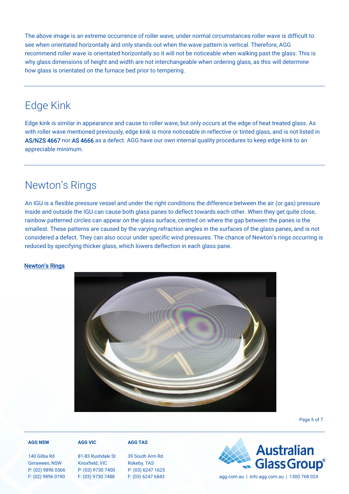The above image is an extreme occurrence of roller wave, under normal circumstances roller wave is difficult to see when orientated horizontally and only stands out when the wave pattern is vertical. Therefore, AGG recommend roller wave is orientated horizontally so it will not be noticeable when walking past the glass. This is why glass dimensions of height and width are not interchangeable when ordering glass, as this will determine how glass is orientated on the furnace bed prior to tempering.

### Edge Kink

Edge kink is similar in appearance and cause to roller wave, but only occurs at the edge of heat treated glass. As with roller wave mentioned previously, edge kink is more noticeable in reflective or tinted glass, and is not listed in AS/NZS 4667 nor AS 4666 as a defect. AGG have our own internal quality procedures to keep edge kink to an appreciable minimum.

### Newton's Rings

An IGU is a flexible pressure vessel and under the right conditions the difference between the air (or gas) pressure inside and outside the IGU can cause both glass panes to deflect towards each other. When they get quite close, rainbow patterned circles can appear on the glass surface, centred on where the gap between the panes is the smallest. These patterns are caused by the varying refraction angles in the surfaces of the glass panes, and is not considered a defect. They can also occur under specific wind pressures. The chance of Newton's rings occurring is reduced by specifying thicker glass, which lowers deflection in each glass pane.

#### Newton's Rings



Page 5 of 7

#### **AGG NSW**

140 Gilba Rd Girraween, NSW P: (02) 9896 0566 F: (02) 9896 0190

#### **AGG VIC**

#### 81-83 Rushdale St Knoxfield, VIC P: (03) 9730 7400 F: (03) 9730 7488

#### 39 South Arm Rd Rokeby, TAS P: (03) 6247 1625

**AGG TAS**



F: (03) 6247 6843 agg.com.au | info.agg.com.au | 1300 768 024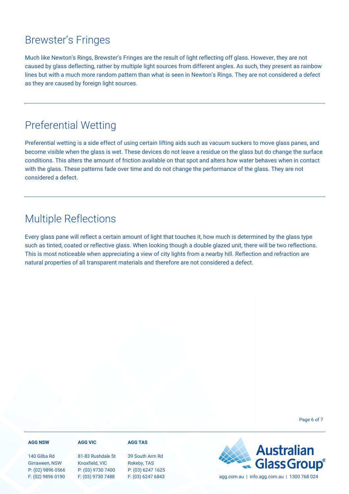### Brewster's Fringes

Much like Newton's Rings, Brewster's Fringes are the result of light reflecting off glass. However, they are not caused by glass deflecting, rather by multiple light sources from different angles. As such, they present as rainbow lines but with a much more random pattern than what is seen in Newton's Rings. They are not considered a defect as they are caused by foreign light sources.

### Preferential Wetting

Preferential wetting is a side effect of using certain lifting aids such as vacuum suckers to move glass panes, and become visible when the glass is wet. These devices do not leave a residue on the glass but do change the surface conditions. This alters the amount of friction available on that spot and alters how water behaves when in contact with the glass. These patterns fade over time and do not change the performance of the glass. They are not considered a defect.

### Multiple Reflections

Every glass pane will reflect a certain amount of light that touches it, how much is determined by the glass type such as tinted, coated or reflective glass. When looking though a double glazed unit, there will be two reflections. This is most noticeable when appreciating a view of city lights from a nearby hill. Reflection and refraction are natural properties of all transparent materials and therefore are not considered a defect.

Page 6 of 7

#### **AGG NSW**

#### **AGG VIC**

140 Gilba Rd Girraween, NSW P: (02) 9896 0566 F: (02) 9896 0190

81-83 Rushdale St Knoxfield, VIC P: (03) 9730 7400 F: (03) 9730 7488

39 South Arm Rd Rokeby, TAS P: (03) 6247 1625

**AGG TAS**